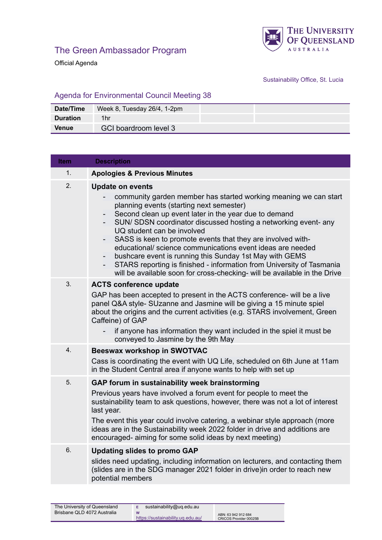

Official Agenda

Sustainability Office, St. Lucia

## Agenda for Environmental Council Meeting 38

| Date/Time    | Week 8, Tuesday 26/4, 1-2pm |
|--------------|-----------------------------|
| Duration     | 1hr                         |
| <b>Venue</b> | GCI boardroom level 3       |

| <b>Item</b> | <b>Description</b>                                                                                                                                                                                                                                                                                                                                                                                                                                                                                                                                                                                                   |
|-------------|----------------------------------------------------------------------------------------------------------------------------------------------------------------------------------------------------------------------------------------------------------------------------------------------------------------------------------------------------------------------------------------------------------------------------------------------------------------------------------------------------------------------------------------------------------------------------------------------------------------------|
| 1.          | <b>Apologies &amp; Previous Minutes</b>                                                                                                                                                                                                                                                                                                                                                                                                                                                                                                                                                                              |
| 2.          | <b>Update on events</b>                                                                                                                                                                                                                                                                                                                                                                                                                                                                                                                                                                                              |
|             | community garden member has started working meaning we can start<br>planning events (starting next semester)<br>Second clean up event later in the year due to demand<br>SUN/ SDSN coordinator discussed hosting a networking event- any<br>UQ student can be involved<br>SASS is keen to promote events that they are involved with-<br>educational/ science communications event ideas are needed<br>bushcare event is running this Sunday 1st May with GEMS<br>STARS reporting is finished - information from University of Tasmania<br>will be available soon for cross-checking- will be available in the Drive |
| 3.          | <b>ACTS conference update</b>                                                                                                                                                                                                                                                                                                                                                                                                                                                                                                                                                                                        |
|             | GAP has been accepted to present in the ACTS conference- will be a live<br>panel Q&A style- SUzanne and Jasmine will be giving a 15 minute spiel<br>about the origins and the current activities (e.g. STARS involvement, Green<br>Caffeine) of GAP                                                                                                                                                                                                                                                                                                                                                                  |
|             | if anyone has information they want included in the spiel it must be<br>conveyed to Jasmine by the 9th May                                                                                                                                                                                                                                                                                                                                                                                                                                                                                                           |
| 4.          | <b>Beeswax workshop in SWOTVAC</b>                                                                                                                                                                                                                                                                                                                                                                                                                                                                                                                                                                                   |
|             | Cass is coordinating the event with UQ Life, scheduled on 6th June at 11am<br>in the Student Central area if anyone wants to help with set up                                                                                                                                                                                                                                                                                                                                                                                                                                                                        |
| 5.          | GAP forum in sustainability week brainstorming                                                                                                                                                                                                                                                                                                                                                                                                                                                                                                                                                                       |
|             | Previous years have involved a forum event for people to meet the<br>sustainability team to ask questions, however, there was not a lot of interest<br>last year.                                                                                                                                                                                                                                                                                                                                                                                                                                                    |
|             | The event this year could involve catering, a webinar style approach (more<br>ideas are in the Sustainability week 2022 folder in drive and additions are<br>encouraged- aiming for some solid ideas by next meeting)                                                                                                                                                                                                                                                                                                                                                                                                |
| 6.          | <b>Updating slides to promo GAP</b><br>slides need updating, including information on lecturers, and contacting them<br>(slides are in the SDG manager 2021 folder in drive) in order to reach new<br>potential members                                                                                                                                                                                                                                                                                                                                                                                              |